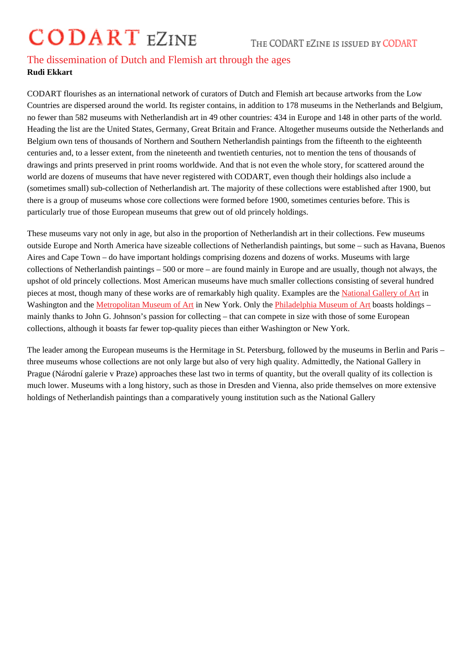## The dissemination of Dutch and Flemish art through the ages Rudi Ekkart

CODART flourishes as an international network of curators of Dutch and Flemish art because artworks from the Low Countries are dispersed around the world. Its register contains, in addition to 178 museums in the Netherlands and Belgium, no fewer than 582 museums with Netherlandish art in 49 other countries: 434 in Europe and 148 in other parts of the world. Heading the list are the United States, Germany, Great Britain and France. Altogether museums outside the Netherlands and Belgium own tens of thousands of Northern and Southern Netherlandish paintings from the fifteenth to the eighteenth centuries and, to a lesser extent, from the nineteenth and twentieth centuries, not to mention the tens of thousands of drawings and prints preserved in print rooms worldwide. And that is not even the whole story, for scattered around the world are dozens of museums that have never registered with CODART, even though their holdings also include a (sometimes small) sub-collection of Netherlandish art. The majority of these collections were established after 1900, but there is a group of museums whose core collections were formed before 1900, sometimes centuries before. This is particularly true of those European museums that grew out of old princely holdings.

These museums vary not only in age, but also in the proportion of Netherlandish art in their collections. Few museums outside Europe and North America have sizeable collections of Netherlandish paintings, but some – such as Havana, Buenos Aires and Cape Town – do have important holdings comprising dozens and dozens of works. Museums with large collections of Netherlandish paintings – 500 or more – are found mainly in Europe and are usually, though not always, the upshot of old princely collections. Most American museums have much smaller collections consisting of several hundred pieces at most, though many of these works are of remarkably high quality. Examples are Gallery of Artin Washington and the Metropolitan Museum of Arth New York. Only the Philadelphia Museum of Abboasts holdings – mainly thanks to John G. Johnson's passion for collecting – that can compete in size with those of some European collections, although it boasts far fewer top-quality pieces than either Washington or [New York.](http://www.codart.nl/291/institutions/details/?institution_id=145)

The leader among [the European museums is](http://www.codart.nl/291/institutions/details/?institution_id=113) the Hermitage in St. [Petersburg, followed by th](http://www.codart.nl/291/institutions/details/?institution_id=121)e museums in Berlin and Paris – three museums whose collections are not only large but also of very high quality. Admittedly, the National Gallery in Prague (Národní galerie v Praze) approaches these last two in terms of quantity, but the overall quality of its collection is much lower. Museums with a long history, such as those in Dresden and Vienna, also pride themselves on more extensive holdings of Netherlandish paintings than a comparatively young institution such as the National Gallery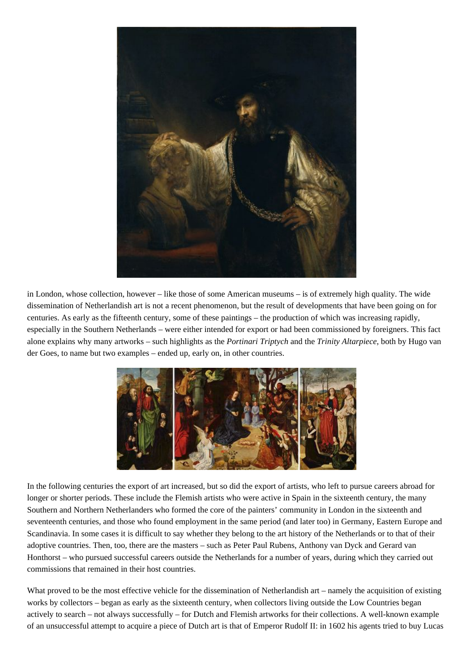

in London, whose collection, however – like those of some American museums – is of extremely high quality. The wide dissemination of Netherlandish art is not a recent phenomenon, but the result of developments that have been going on for centuries. As early as the fifteenth century, some of these paintings – the production of which was increasing rapidly, especially in the Southern Netherlands – were either intended for export or had been commissioned by foreigners. This fact alone explains why many artworks – such highlights as the *Portinari Triptych* and the *Trinity Altarpiece*, both by Hugo van der Goes, to name but two examples – ended up, early on, in other countries.



In the following centuries the export of art increased, but so did the export of artists, who left to pursue careers abroad for longer or shorter periods. These include the Flemish artists who were active in Spain in the sixteenth century, the many Southern and Northern Netherlanders who formed the core of the painters' community in London in the sixteenth and seventeenth centuries, and those who found employment in the same period (and later too) in Germany, Eastern Europe and Scandinavia. In some cases it is difficult to say whether they belong to the art history of the Netherlands or to that of their adoptive countries. Then, too, there are the masters – such as Peter Paul Rubens, Anthony van Dyck and Gerard van Honthorst – who pursued successful careers outside the Netherlands for a number of years, during which they carried out commissions that remained in their host countries.

What proved to be the most effective vehicle for the dissemination of Netherlandish art – namely the acquisition of existing works by collectors – began as early as the sixteenth century, when collectors living outside the Low Countries began actively to search – not always successfully – for Dutch and Flemish artworks for their collections. A well-known example of an unsuccessful attempt to acquire a piece of Dutch art is that of Emperor Rudolf II: in 1602 his agents tried to buy Lucas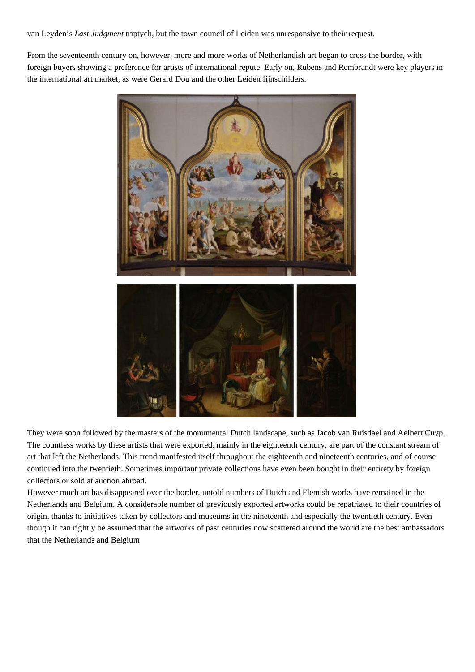van Leyden's *Last Judgment* triptych, but the town council of Leiden was unresponsive to their request.

From the seventeenth century on, however, more and more works of Netherlandish art began to cross the border, with foreign buyers showing a preference for artists of international repute. Early on, Rubens and Rembrandt were key players in the international art market, as were Gerard Dou and the other Leiden fijnschilders.



They were soon followed by the masters of the monumental Dutch landscape, such as Jacob van Ruisdael and Aelbert Cuyp. The countless works by these artists that were exported, mainly in the eighteenth century, are part of the constant stream of art that left the Netherlands. This trend manifested itself throughout the eighteenth and nineteenth centuries, and of course continued into the twentieth. Sometimes important private collections have even been bought in their entirety by foreign collectors or sold at auction abroad.

However much art has disappeared over the border, untold numbers of Dutch and Flemish works have remained in the Netherlands and Belgium. A considerable number of previously exported artworks could be repatriated to their countries of origin, thanks to initiatives taken by collectors and museums in the nineteenth and especially the twentieth century. Even though it can rightly be assumed that the artworks of past centuries now scattered around the world are the best ambassadors that the Netherlands and Belgium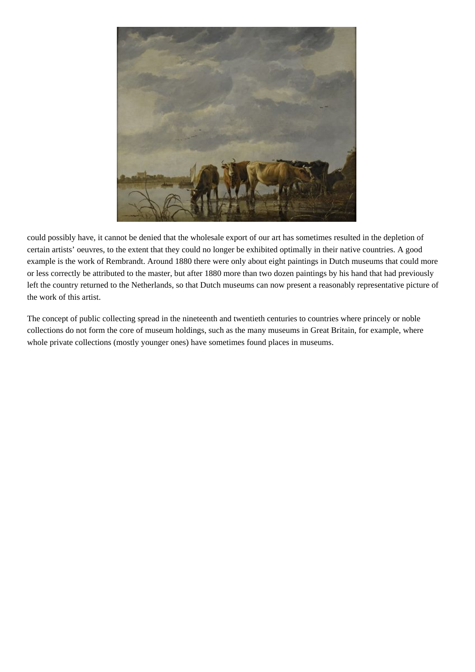

could possibly have, it cannot be denied that the wholesale export of our art has sometimes resulted in the depletion of certain artists' oeuvres, to the extent that they could no longer be exhibited optimally in their native countries. A good example is the work of Rembrandt. Around 1880 there were only about eight paintings in Dutch museums that could more or less correctly be attributed to the master, but after 1880 more than two dozen paintings by his hand that had previously left the country returned to the Netherlands, so that Dutch museums can now present a reasonably representative picture of the work of this artist.

The concept of public collecting spread in the nineteenth and twentieth centuries to countries where princely or noble collections do not form the core of museum holdings, such as the many museums in Great Britain, for example, where whole private collections (mostly younger ones) have sometimes found places in museums.